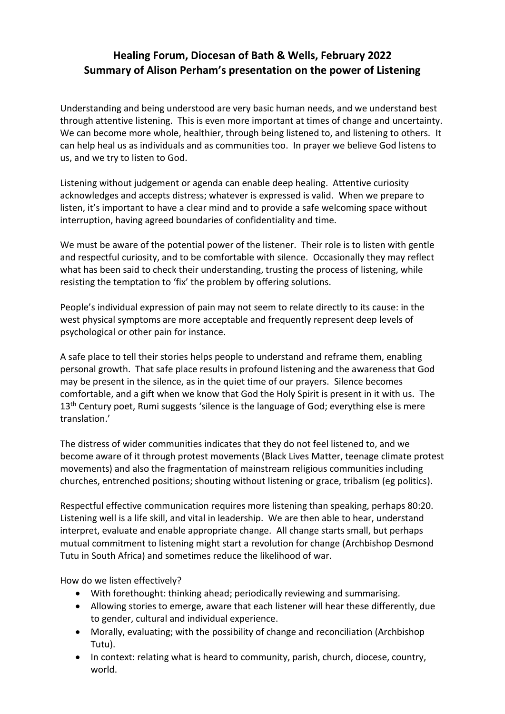## **Healing Forum, Diocesan of Bath & Wells, February 2022 Summary of Alison Perham's presentation on the power of Listening**

Understanding and being understood are very basic human needs, and we understand best through attentive listening. This is even more important at times of change and uncertainty. We can become more whole, healthier, through being listened to, and listening to others. It can help heal us as individuals and as communities too. In prayer we believe God listens to us, and we try to listen to God.

Listening without judgement or agenda can enable deep healing. Attentive curiosity acknowledges and accepts distress; whatever is expressed is valid. When we prepare to listen, it's important to have a clear mind and to provide a safe welcoming space without interruption, having agreed boundaries of confidentiality and time.

We must be aware of the potential power of the listener. Their role is to listen with gentle and respectful curiosity, and to be comfortable with silence. Occasionally they may reflect what has been said to check their understanding, trusting the process of listening, while resisting the temptation to 'fix' the problem by offering solutions.

People's individual expression of pain may not seem to relate directly to its cause: in the west physical symptoms are more acceptable and frequently represent deep levels of psychological or other pain for instance.

A safe place to tell their stories helps people to understand and reframe them, enabling personal growth. That safe place results in profound listening and the awareness that God may be present in the silence, as in the quiet time of our prayers. Silence becomes comfortable, and a gift when we know that God the Holy Spirit is present in it with us. The 13<sup>th</sup> Century poet, Rumi suggests 'silence is the language of God; everything else is mere translation.'

The distress of wider communities indicates that they do not feel listened to, and we become aware of it through protest movements (Black Lives Matter, teenage climate protest movements) and also the fragmentation of mainstream religious communities including churches, entrenched positions; shouting without listening or grace, tribalism (eg politics).

Respectful effective communication requires more listening than speaking, perhaps 80:20. Listening well is a life skill, and vital in leadership. We are then able to hear, understand interpret, evaluate and enable appropriate change. All change starts small, but perhaps mutual commitment to listening might start a revolution for change (Archbishop Desmond Tutu in South Africa) and sometimes reduce the likelihood of war.

How do we listen effectively?

- With forethought: thinking ahead; periodically reviewing and summarising.
- Allowing stories to emerge, aware that each listener will hear these differently, due to gender, cultural and individual experience.
- Morally, evaluating; with the possibility of change and reconciliation (Archbishop Tutu).
- In context: relating what is heard to community, parish, church, diocese, country, world.